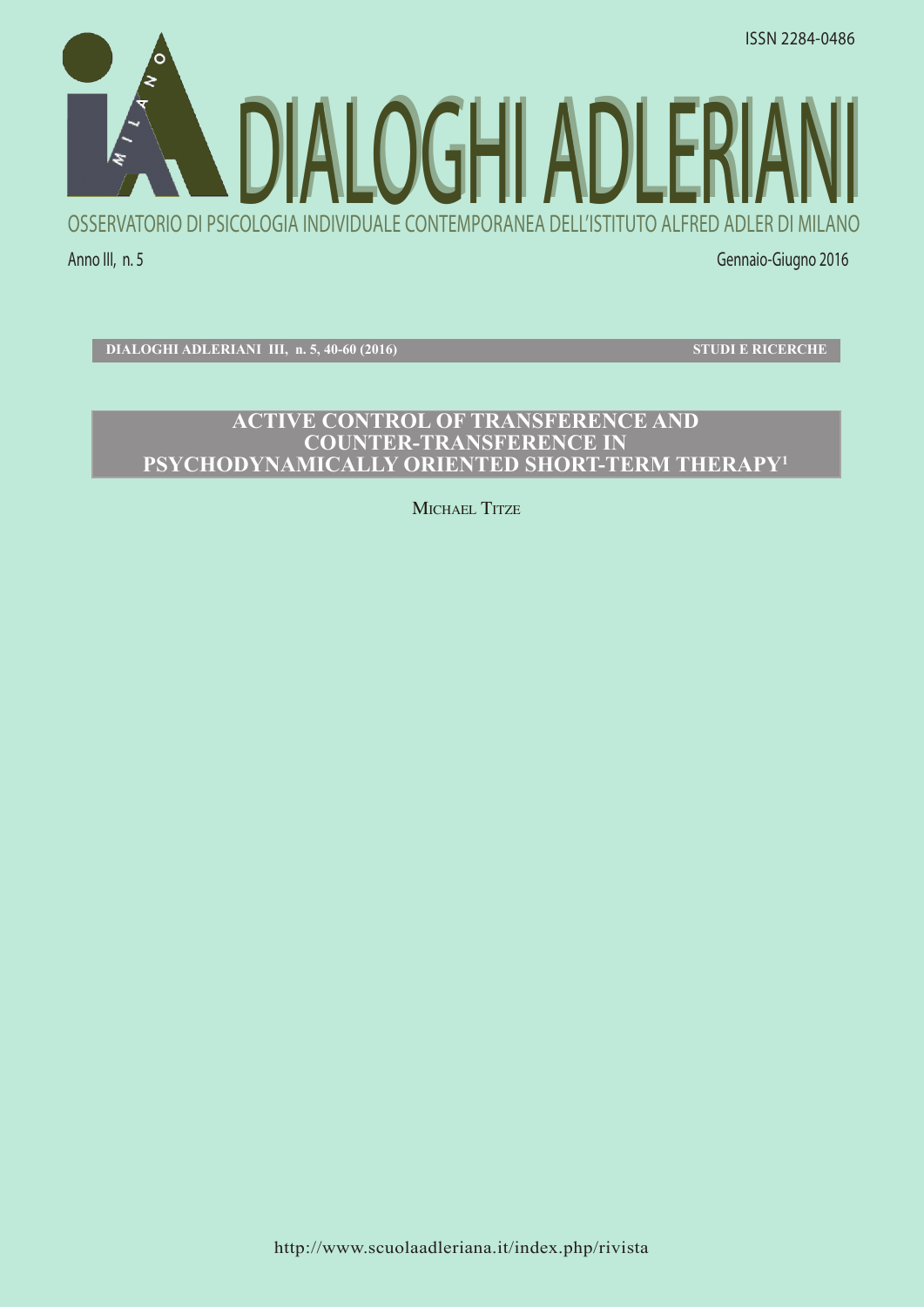

**DIALOGHI ADLERIANI III, n. 5, 40-60 (2016) STUDI E RICERCHE**

# **ACTIVE CONTROL OF TRANSFERENCE AND COUNTER-TRANSFERENCE IN PSYCHODYNAMICALLY ORIENTED SHORT-TERM THERAPY1**

MICHAEL TITZE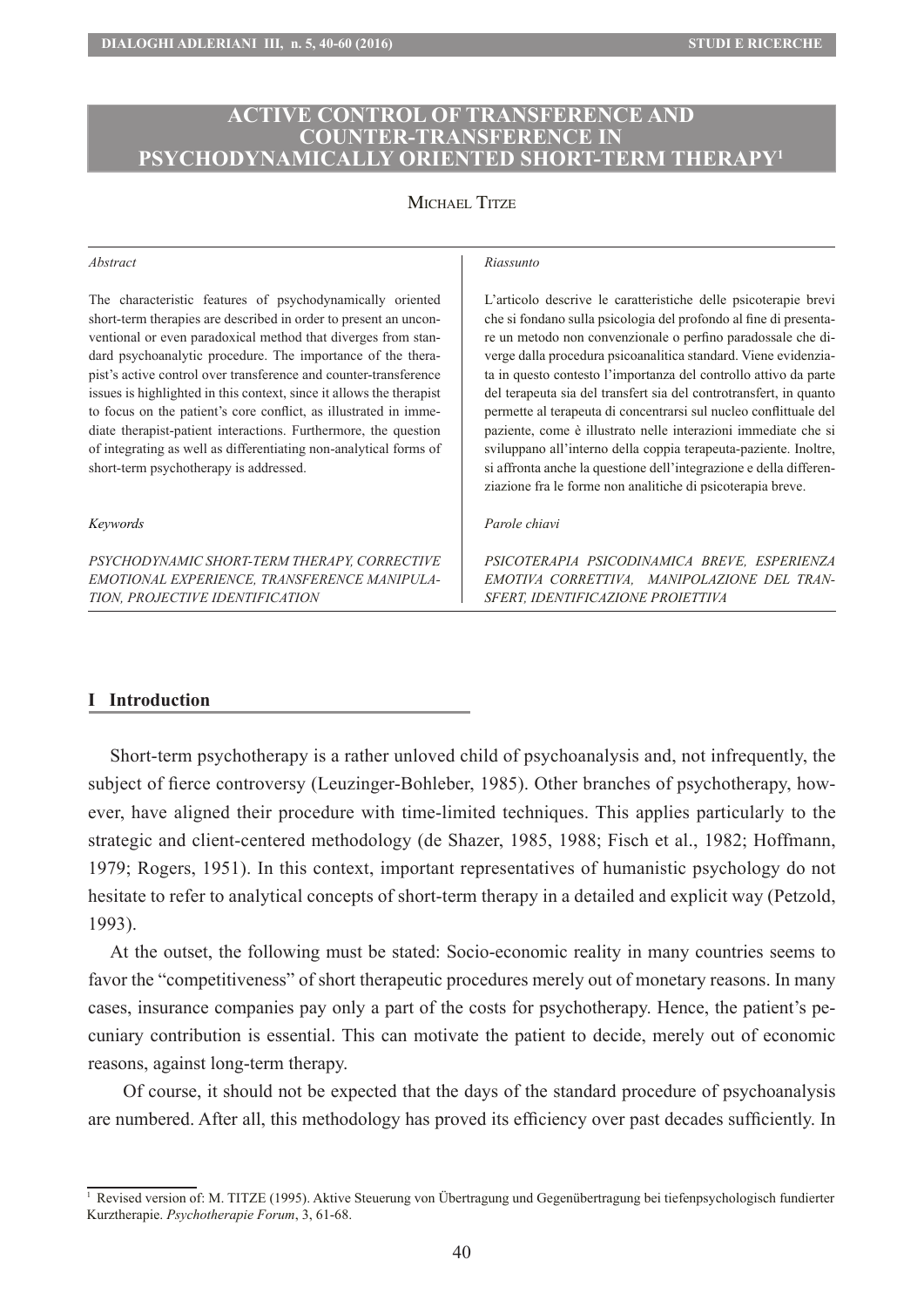## **ACTIVE CONTROL OF TRANSFERENCE AND COUNTER-TRANSFERENCE IN PSYCHODYNAMICALLY ORIENTED SHORT-TERM THERAPY1**

## MICHAEL TITZE

#### *Abstract*

The characteristic features of psychodynamically oriented short-term therapies are described in order to present an unconventional or even paradoxical method that diverges from standard psychoanalytic procedure. The importance of the therapist's active control over transference and counter-transference issues is highlighted in this context, since it allows the therapist to focus on the patient's core conflict, as illustrated in immediate therapist-patient interactions. Furthermore, the question of integrating as well as differentiating non-analytical forms of short-term psychotherapy is addressed.

#### *Keywords*

*PSYCHODYNAMIC SHORT-TERM THERAPY, CORRECTIVE EMOTIONAL EXPERIENCE, TRANSFERENCE MANIPULA-TION, PROJECTIVE IDENTIFICATION* 

*Riassunto*

L'articolo descrive le caratteristiche delle psicoterapie brevi che si fondano sulla psicologia del profondo al fine di presentare un metodo non convenzionale o perfino paradossale che diverge dalla procedura psicoanalitica standard. Viene evidenziata in questo contesto l'importanza del controllo attivo da parte del terapeuta sia del transfert sia del controtransfert, in quanto permette al terapeuta di concentrarsi sul nucleo conflittuale del paziente, come è illustrato nelle interazioni immediate che si sviluppano all'interno della coppia terapeuta-paziente. Inoltre, si affronta anche la questione dell'integrazione e della differenziazione fra le forme non analitiche di psicoterapia breve.

#### *Parole chiavi*

*PSICOTERAPIA PSICODINAMICA BREVE, ESPERIENZA EMOTIVA CORRETTIVA, MANIPOLAZIONE DEL TRAN-SFERT, IDENTIFICAZIONE PROIETTIVA* 

#### **I Introduction**

Short-term psychotherapy is a rather unloved child of psychoanalysis and, not infrequently, the subject of fierce controversy (Leuzinger-Bohleber, 1985). Other branches of psychotherapy, however, have aligned their procedure with time-limited techniques. This applies particularly to the strategic and client-centered methodology (de Shazer, 1985, 1988; Fisch et al., 1982; Hoffmann, 1979; Rogers, 1951). In this context, important representatives of humanistic psychology do not hesitate to refer to analytical concepts of short-term therapy in a detailed and explicit way (Petzold, 1993).

At the outset, the following must be stated: Socio-economic reality in many countries seems to favor the "competitiveness" of short therapeutic procedures merely out of monetary reasons. In many cases, insurance companies pay only a part of the costs for psychotherapy. Hence, the patient's pecuniary contribution is essential. This can motivate the patient to decide, merely out of economic reasons, against long-term therapy.

Of course, it should not be expected that the days of the standard procedure of psychoanalysis are numbered. After all, this methodology has proved its efficiency over past decades sufficiently. In

<sup>1</sup> Revised version of: M. TITZE (1995). Aktive Steuerung von Übertragung und Gegenübertragung bei tiefenpsychologisch fundierter Kurztherapie. *Psychotherapie Forum*, 3, 61-68.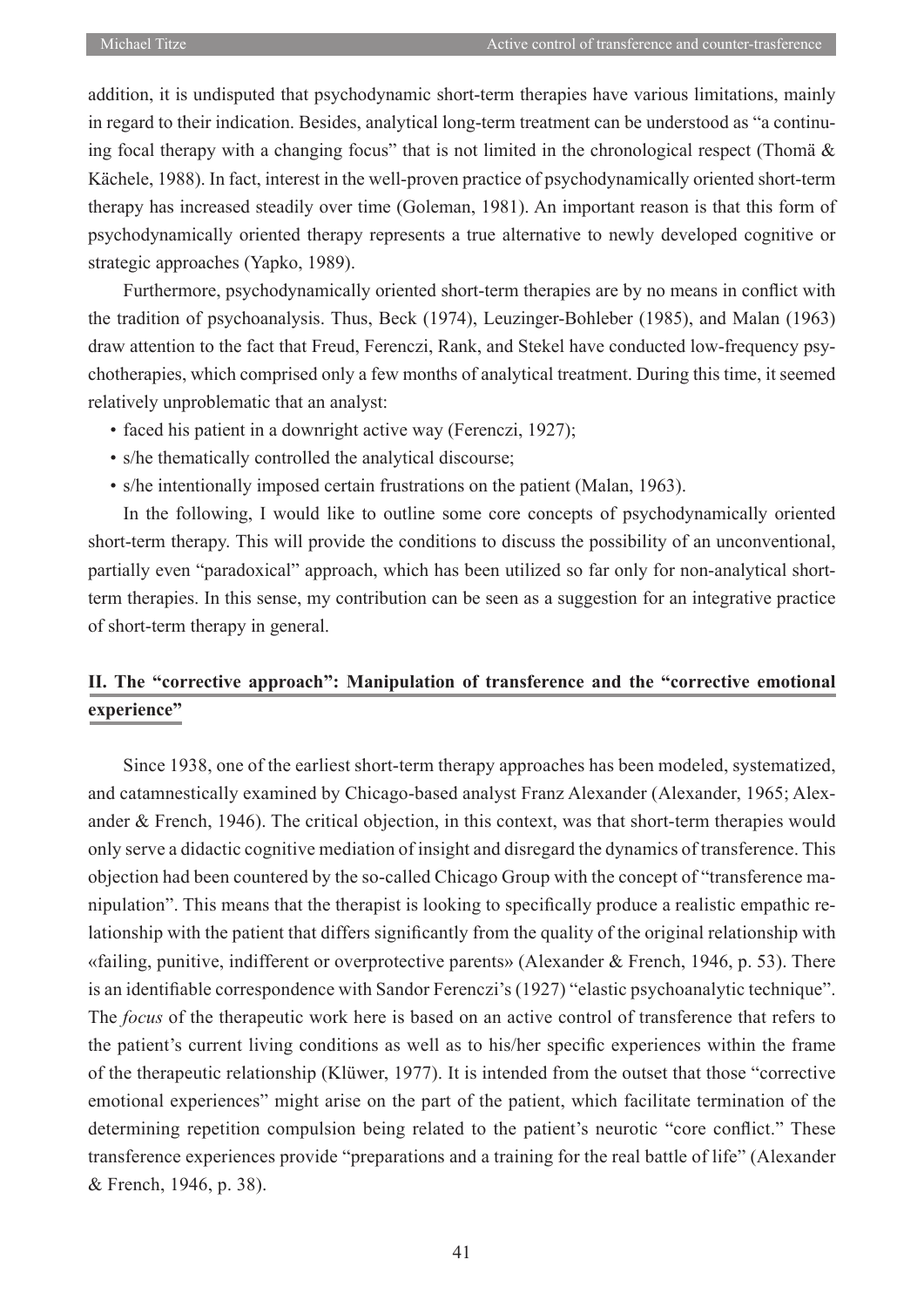addition, it is undisputed that psychodynamic short-term therapies have various limitations, mainly in regard to their indication. Besides, analytical long-term treatment can be understood as "a continuing focal therapy with a changing focus" that is not limited in the chronological respect (Thomä  $\&$ Kächele, 1988). In fact, interest in the well-proven practice of psychodynamically oriented short-term therapy has increased steadily over time (Goleman, 1981). An important reason is that this form of psychodynamically oriented therapy represents a true alternative to newly developed cognitive or strategic approaches (Yapko, 1989).

Furthermore, psychodynamically oriented short-term therapies are by no means in conflict with the tradition of psychoanalysis. Thus, Beck (1974), Leuzinger-Bohleber (1985), and Malan (1963) draw attention to the fact that Freud, Ferenczi, Rank, and Stekel have conducted low-frequency psychotherapies, which comprised only a few months of analytical treatment. During this time, it seemed relatively unproblematic that an analyst:

- faced his patient in a downright active way (Ferenczi, 1927);
- s/he thematically controlled the analytical discourse;
- s/he intentionally imposed certain frustrations on the patient (Malan, 1963).

In the following, I would like to outline some core concepts of psychodynamically oriented short-term therapy. This will provide the conditions to discuss the possibility of an unconventional, partially even "paradoxical" approach, which has been utilized so far only for non-analytical shortterm therapies. In this sense, my contribution can be seen as a suggestion for an integrative practice of short-term therapy in general.

# **II. The "corrective approach": Manipulation of transference and the "corrective emotional experience"**

Since 1938, one of the earliest short-term therapy approaches has been modeled, systematized, and catamnestically examined by Chicago-based analyst Franz Alexander (Alexander, 1965; Alexander & French, 1946). The critical objection, in this context, was that short-term therapies would only serve a didactic cognitive mediation of insight and disregard the dynamics of transference. This objection had been countered by the so-called Chicago Group with the concept of "transference manipulation". This means that the therapist is looking to specifically produce a realistic empathic relationship with the patient that differs significantly from the quality of the original relationship with «failing, punitive, indifferent or overprotective parents» (Alexander & French, 1946, p. 53). There is an identifiable correspondence with Sandor Ferenczi's (1927) "elastic psychoanalytic technique". The *focus* of the therapeutic work here is based on an active control of transference that refers to the patient's current living conditions as well as to his/her specific experiences within the frame of the therapeutic relationship (Klüwer, 1977). It is intended from the outset that those "corrective emotional experiences" might arise on the part of the patient, which facilitate termination of the determining repetition compulsion being related to the patient's neurotic "core conflict." These transference experiences provide "preparations and a training for the real battle of life" (Alexander & French, 1946, p. 38).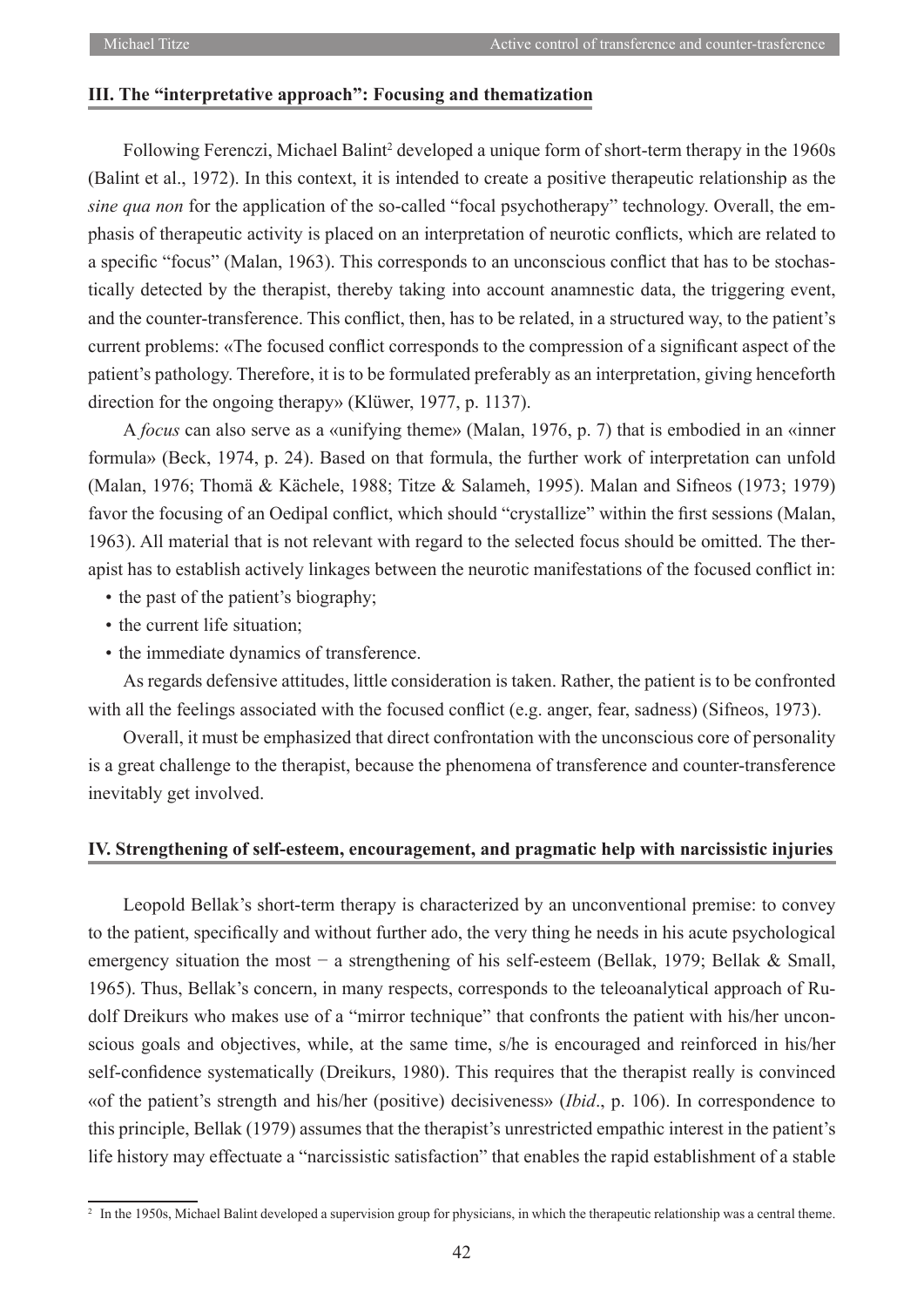### **III. The "interpretative approach": Focusing and thematization**

Following Ferenczi, Michael Balint<sup>2</sup> developed a unique form of short-term therapy in the 1960s (Balint et al., 1972). In this context, it is intended to create a positive therapeutic relationship as the *sine qua non* for the application of the so-called "focal psychotherapy" technology. Overall, the emphasis of therapeutic activity is placed on an interpretation of neurotic conflicts, which are related to a specific "focus" (Malan, 1963). This corresponds to an unconscious conflict that has to be stochastically detected by the therapist, thereby taking into account anamnestic data, the triggering event, and the counter-transference. This conflict, then, has to be related, in a structured way, to the patient's current problems: «The focused conflict corresponds to the compression of a significant aspect of the patient's pathology. Therefore, it is to be formulated preferably as an interpretation, giving henceforth direction for the ongoing therapy» (Klüwer, 1977, p. 1137).

A *focus* can also serve as a «unifying theme» (Malan, 1976, p. 7) that is embodied in an «inner formula» (Beck, 1974, p. 24). Based on that formula, the further work of interpretation can unfold (Malan, 1976; Thomä & Kächele, 1988; Titze & Salameh, 1995). Malan and Sifneos (1973; 1979) favor the focusing of an Oedipal conflict, which should "crystallize" within the first sessions (Malan, 1963). All material that is not relevant with regard to the selected focus should be omitted. The therapist has to establish actively linkages between the neurotic manifestations of the focused conflict in:

- the past of the patient's biography;
- the current life situation;
- the immediate dynamics of transference.

As regards defensive attitudes, little consideration is taken. Rather, the patient is to be confronted with all the feelings associated with the focused conflict (e.g. anger, fear, sadness) (Sifneos, 1973).

Overall, it must be emphasized that direct confrontation with the unconscious core of personality is a great challenge to the therapist, because the phenomena of transference and counter-transference inevitably get involved.

#### **IV. Strengthening of self-esteem, encouragement, and pragmatic help with narcissistic injuries**

Leopold Bellak's short-term therapy is characterized by an unconventional premise: to convey to the patient, specifically and without further ado, the very thing he needs in his acute psychological emergency situation the most − a strengthening of his self-esteem (Bellak, 1979; Bellak & Small, 1965). Thus, Bellak's concern, in many respects, corresponds to the teleoanalytical approach of Rudolf Dreikurs who makes use of a "mirror technique" that confronts the patient with his/her unconscious goals and objectives, while, at the same time, s/he is encouraged and reinforced in his/her self-confidence systematically (Dreikurs, 1980). This requires that the therapist really is convinced «of the patient's strength and his/her (positive) decisiveness» (*Ibid*., p. 106). In correspondence to this principle, Bellak (1979) assumes that the therapist's unrestricted empathic interest in the patient's life history may effectuate a "narcissistic satisfaction" that enables the rapid establishment of a stable

<sup>&</sup>lt;sup>2</sup> In the 1950s, Michael Balint developed a supervision group for physicians, in which the therapeutic relationship was a central theme.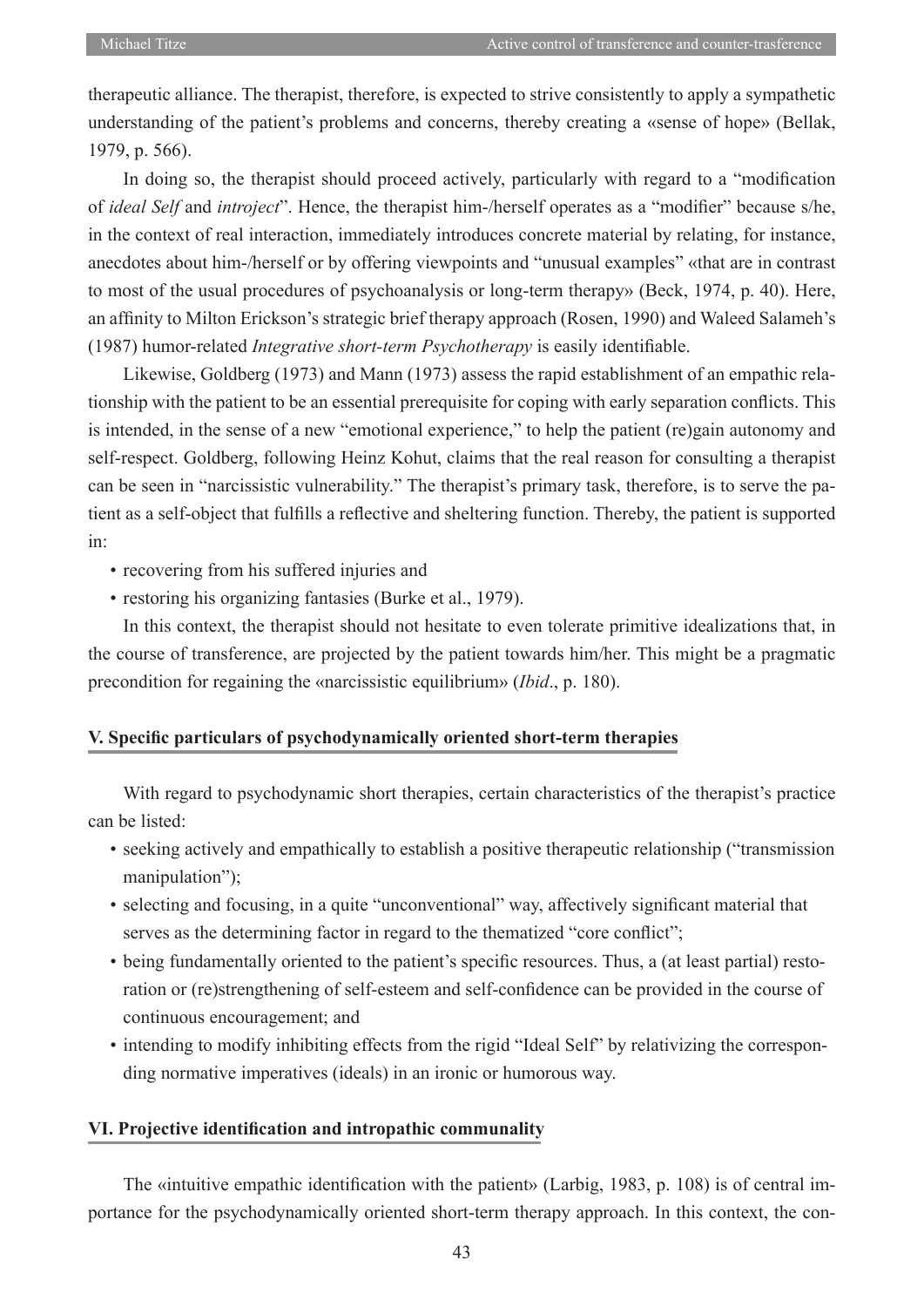therapeutic alliance. The therapist, therefore, is expected to strive consistently to apply a sympathetic understanding of the patient's problems and concerns, thereby creating a «sense of hope» (Bellak, 1979, p. 566).

In doing so, the therapist should proceed actively, particularly with regard to a "modification of *ideal Self* and *introject*". Hence, the therapist him-/herself operates as a "modifier" because s/he, in the context of real interaction, immediately introduces concrete material by relating, for instance, anecdotes about him-/herself or by offering viewpoints and "unusual examples" «that are in contrast to most of the usual procedures of psychoanalysis or long-term therapy» (Beck, 1974, p. 40). Here, an affinity to Milton Erickson's strategic brief therapy approach (Rosen, 1990) and Waleed Salameh's (1987) humor-related *Integrative short-term Psychotherapy* is easily identifiable.

Likewise, Goldberg (1973) and Mann (1973) assess the rapid establishment of an empathic relationship with the patient to be an essential prerequisite for coping with early separation conflicts. This is intended, in the sense of a new "emotional experience," to help the patient (re)gain autonomy and self-respect. Goldberg, following Heinz Kohut, claims that the real reason for consulting a therapist can be seen in "narcissistic vulnerability." The therapist's primary task, therefore, is to serve the patient as a self-object that fulfills a reflective and sheltering function. Thereby, the patient is supported in:

- recovering from his suffered injuries and
- restoring his organizing fantasies (Burke et al., 1979).

In this context, the therapist should not hesitate to even tolerate primitive idealizations that, in the course of transference, are projected by the patient towards him/her. This might be a pragmatic precondition for regaining the «narcissistic equilibrium» (*Ibid*., p. 180).

### **V. Specific particulars of psychodynamically oriented short-term therapies**

With regard to psychodynamic short therapies, certain characteristics of the therapist's practice can be listed:

- seeking actively and empathically to establish a positive therapeutic relationship ("transmission manipulation");
- selecting and focusing, in a quite "unconventional" way, affectively significant material that serves as the determining factor in regard to the thematized "core conflict";
- being fundamentally oriented to the patient's specific resources. Thus, a (at least partial) restoration or (re)strengthening of self-esteem and self-confidence can be provided in the course of continuous encouragement; and
- intending to modify inhibiting effects from the rigid "Ideal Self" by relativizing the corresponding normative imperatives (ideals) in an ironic or humorous way.

## **VI. Projective identification and intropathic communality**

The «intuitive empathic identification with the patient» (Larbig, 1983, p. 108) is of central importance for the psychodynamically oriented short-term therapy approach. In this context, the con-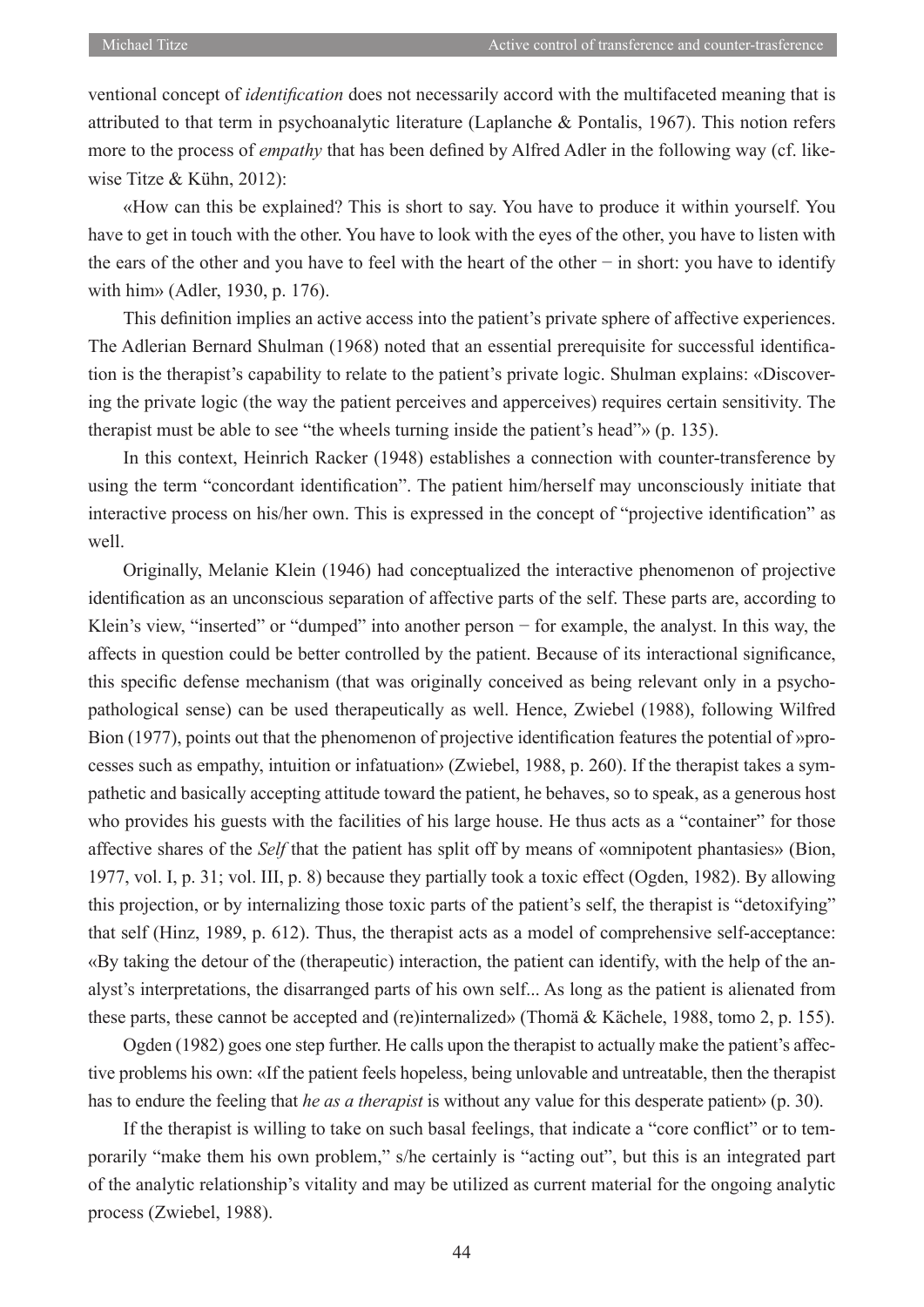ventional concept of *identification* does not necessarily accord with the multifaceted meaning that is attributed to that term in psychoanalytic literature (Laplanche & Pontalis, 1967). This notion refers more to the process of *empathy* that has been defined by Alfred Adler in the following way (cf. likewise Titze & Kühn, 2012):

«How can this be explained? This is short to say. You have to produce it within yourself. You have to get in touch with the other. You have to look with the eyes of the other, you have to listen with the ears of the other and you have to feel with the heart of the other − in short: you have to identify with him» (Adler, 1930, p. 176).

This definition implies an active access into the patient's private sphere of affective experiences. The Adlerian Bernard Shulman (1968) noted that an essential prerequisite for successful identification is the therapist's capability to relate to the patient's private logic. Shulman explains: «Discovering the private logic (the way the patient perceives and apperceives) requires certain sensitivity. The therapist must be able to see "the wheels turning inside the patient's head"» (p. 135).

In this context, Heinrich Racker (1948) establishes a connection with counter-transference by using the term "concordant identification". The patient him/herself may unconsciously initiate that interactive process on his/her own. This is expressed in the concept of "projective identification" as well.

Originally, Melanie Klein (1946) had conceptualized the interactive phenomenon of projective identification as an unconscious separation of affective parts of the self. These parts are, according to Klein's view, "inserted" or "dumped" into another person − for example, the analyst. In this way, the affects in question could be better controlled by the patient. Because of its interactional significance, this specific defense mechanism (that was originally conceived as being relevant only in a psychopathological sense) can be used therapeutically as well. Hence, Zwiebel (1988), following Wilfred Bion (1977), points out that the phenomenon of projective identification features the potential of »processes such as empathy, intuition or infatuation» (Zwiebel, 1988, p. 260). If the therapist takes a sympathetic and basically accepting attitude toward the patient, he behaves, so to speak, as a generous host who provides his guests with the facilities of his large house. He thus acts as a "container" for those affective shares of the *Self* that the patient has split off by means of «omnipotent phantasies» (Bion, 1977, vol. I, p. 31; vol. III, p. 8) because they partially took a toxic effect (Ogden, 1982). By allowing this projection, or by internalizing those toxic parts of the patient's self, the therapist is "detoxifying" that self (Hinz, 1989, p. 612). Thus, the therapist acts as a model of comprehensive self-acceptance: «By taking the detour of the (therapeutic) interaction, the patient can identify, with the help of the analyst's interpretations, the disarranged parts of his own self... As long as the patient is alienated from these parts, these cannot be accepted and (re)internalized» (Thomä & Kächele, 1988, tomo 2, p. 155).

Ogden (1982) goes one step further. He calls upon the therapist to actually make the patient's affective problems his own: «If the patient feels hopeless, being unlovable and untreatable, then the therapist has to endure the feeling that *he as a therapist* is without any value for this desperate patient» (p. 30).

If the therapist is willing to take on such basal feelings, that indicate a "core conflict" or to temporarily "make them his own problem," s/he certainly is "acting out", but this is an integrated part of the analytic relationship's vitality and may be utilized as current material for the ongoing analytic process (Zwiebel, 1988).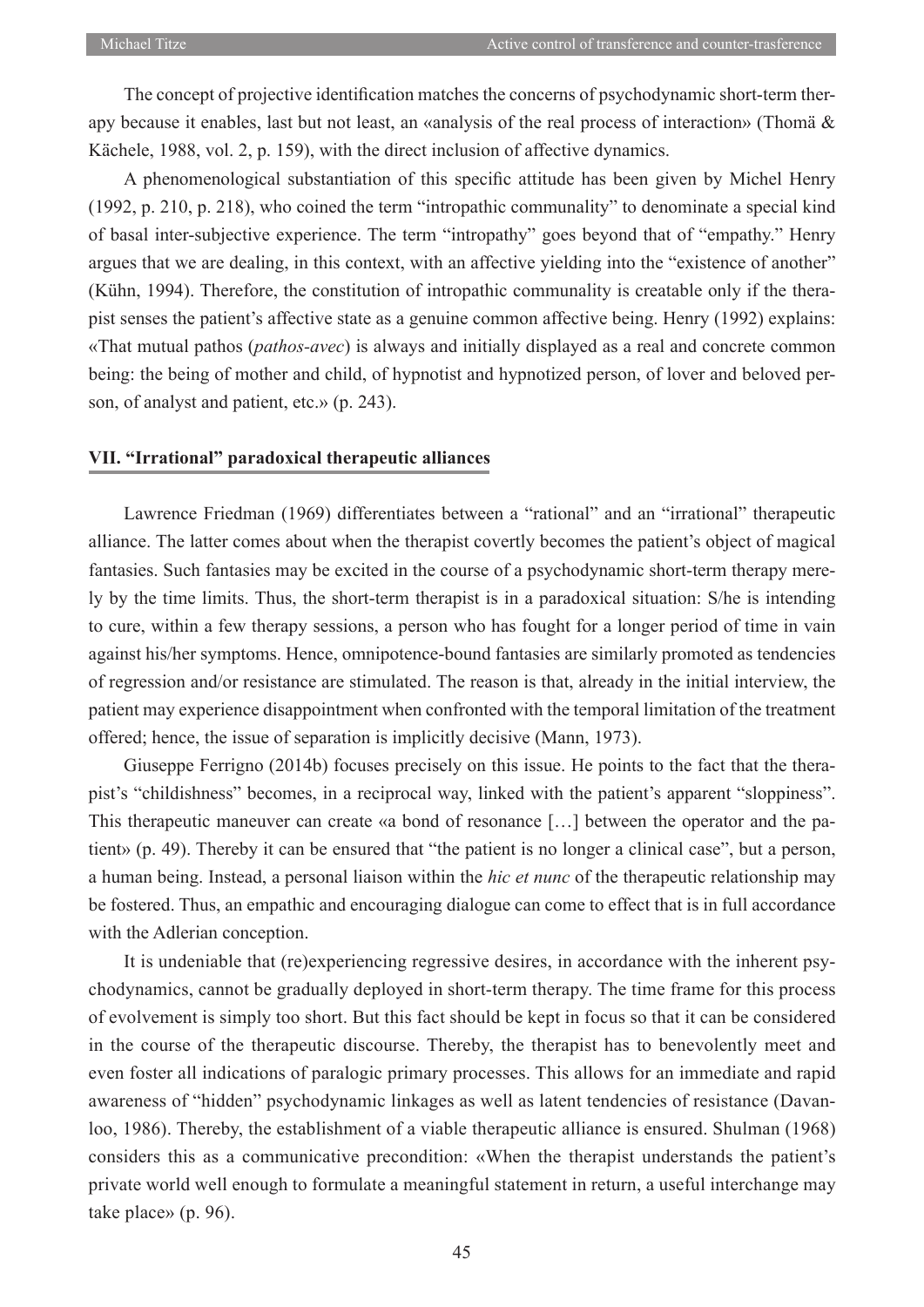The concept of projective identification matches the concerns of psychodynamic short-term therapy because it enables, last but not least, an «analysis of the real process of interaction» (Thomä & Kächele, 1988, vol. 2, p. 159), with the direct inclusion of affective dynamics.

A phenomenological substantiation of this specific attitude has been given by Michel Henry (1992, p. 210, p. 218), who coined the term "intropathic communality" to denominate a special kind of basal inter-subjective experience. The term "intropathy" goes beyond that of "empathy." Henry argues that we are dealing, in this context, with an affective yielding into the "existence of another" (Kühn, 1994). Therefore, the constitution of intropathic communality is creatable only if the therapist senses the patient's affective state as a genuine common affective being. Henry (1992) explains: «That mutual pathos (*pathos-avec*) is always and initially displayed as a real and concrete common being: the being of mother and child, of hypnotist and hypnotized person, of lover and beloved person, of analyst and patient, etc.» (p. 243).

#### **VII. "Irrational" paradoxical therapeutic alliances**

Lawrence Friedman (1969) differentiates between a "rational" and an "irrational" therapeutic alliance. The latter comes about when the therapist covertly becomes the patient's object of magical fantasies. Such fantasies may be excited in the course of a psychodynamic short-term therapy merely by the time limits. Thus, the short-term therapist is in a paradoxical situation: S/he is intending to cure, within a few therapy sessions, a person who has fought for a longer period of time in vain against his/her symptoms. Hence, omnipotence-bound fantasies are similarly promoted as tendencies of regression and/or resistance are stimulated. The reason is that, already in the initial interview, the patient may experience disappointment when confronted with the temporal limitation of the treatment offered; hence, the issue of separation is implicitly decisive (Mann, 1973).

Giuseppe Ferrigno (2014b) focuses precisely on this issue. He points to the fact that the therapist's "childishness" becomes, in a reciprocal way, linked with the patient's apparent "sloppiness". This therapeutic maneuver can create «a bond of resonance […] between the operator and the patient» (p. 49). Thereby it can be ensured that "the patient is no longer a clinical case", but a person, a human being. Instead, a personal liaison within the *hic et nunc* of the therapeutic relationship may be fostered. Thus, an empathic and encouraging dialogue can come to effect that is in full accordance with the Adlerian conception.

It is undeniable that (re)experiencing regressive desires, in accordance with the inherent psychodynamics, cannot be gradually deployed in short-term therapy. The time frame for this process of evolvement is simply too short. But this fact should be kept in focus so that it can be considered in the course of the therapeutic discourse. Thereby, the therapist has to benevolently meet and even foster all indications of paralogic primary processes. This allows for an immediate and rapid awareness of "hidden" psychodynamic linkages as well as latent tendencies of resistance (Davanloo, 1986). Thereby, the establishment of a viable therapeutic alliance is ensured. Shulman (1968) considers this as a communicative precondition: «When the therapist understands the patient's private world well enough to formulate a meaningful statement in return, a useful interchange may take place» (p. 96).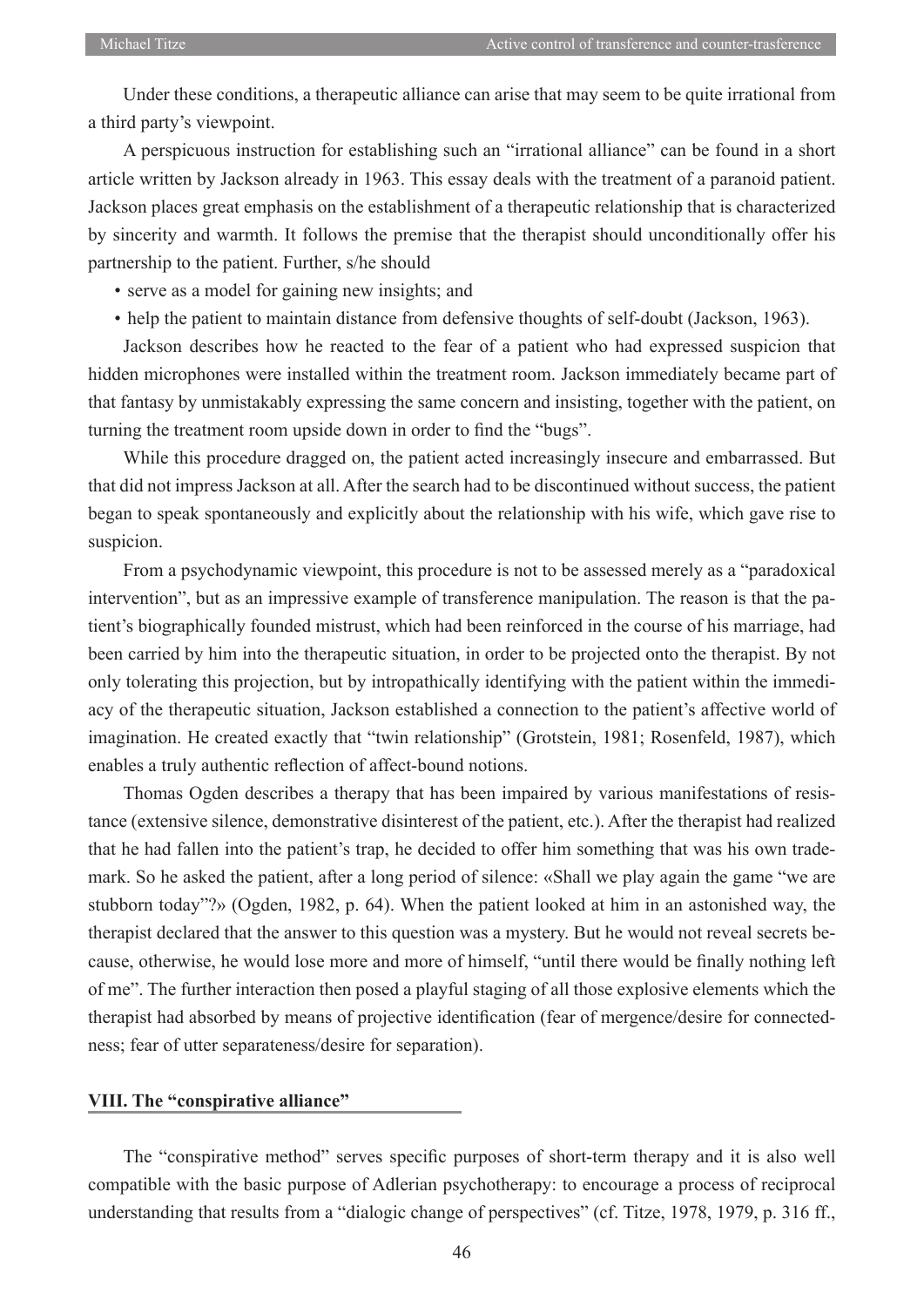Under these conditions, a therapeutic alliance can arise that may seem to be quite irrational from a third party's viewpoint.

A perspicuous instruction for establishing such an "irrational alliance" can be found in a short article written by Jackson already in 1963. This essay deals with the treatment of a paranoid patient. Jackson places great emphasis on the establishment of a therapeutic relationship that is characterized by sincerity and warmth. It follows the premise that the therapist should unconditionally offer his partnership to the patient. Further, s/he should

- serve as a model for gaining new insights; and
- help the patient to maintain distance from defensive thoughts of self-doubt (Jackson, 1963).

Jackson describes how he reacted to the fear of a patient who had expressed suspicion that hidden microphones were installed within the treatment room. Jackson immediately became part of that fantasy by unmistakably expressing the same concern and insisting, together with the patient, on turning the treatment room upside down in order to find the "bugs".

While this procedure dragged on, the patient acted increasingly insecure and embarrassed. But that did not impress Jackson at all. After the search had to be discontinued without success, the patient began to speak spontaneously and explicitly about the relationship with his wife, which gave rise to suspicion.

From a psychodynamic viewpoint, this procedure is not to be assessed merely as a "paradoxical intervention", but as an impressive example of transference manipulation. The reason is that the patient's biographically founded mistrust, which had been reinforced in the course of his marriage, had been carried by him into the therapeutic situation, in order to be projected onto the therapist. By not only tolerating this projection, but by intropathically identifying with the patient within the immediacy of the therapeutic situation, Jackson established a connection to the patient's affective world of imagination. He created exactly that "twin relationship" (Grotstein, 1981; Rosenfeld, 1987), which enables a truly authentic reflection of affect-bound notions.

Thomas Ogden describes a therapy that has been impaired by various manifestations of resistance (extensive silence, demonstrative disinterest of the patient, etc.). After the therapist had realized that he had fallen into the patient's trap, he decided to offer him something that was his own trademark. So he asked the patient, after a long period of silence: «Shall we play again the game "we are stubborn today"?» (Ogden, 1982, p. 64). When the patient looked at him in an astonished way, the therapist declared that the answer to this question was a mystery. But he would not reveal secrets because, otherwise, he would lose more and more of himself, "until there would be finally nothing left of me". The further interaction then posed a playful staging of all those explosive elements which the therapist had absorbed by means of projective identification (fear of mergence/desire for connectedness; fear of utter separateness/desire for separation).

#### **VIII. The "conspirative alliance"**

The "conspirative method" serves specific purposes of short-term therapy and it is also well compatible with the basic purpose of Adlerian psychotherapy: to encourage a process of reciprocal understanding that results from a "dialogic change of perspectives" (cf. Titze, 1978, 1979, p. 316 ff.,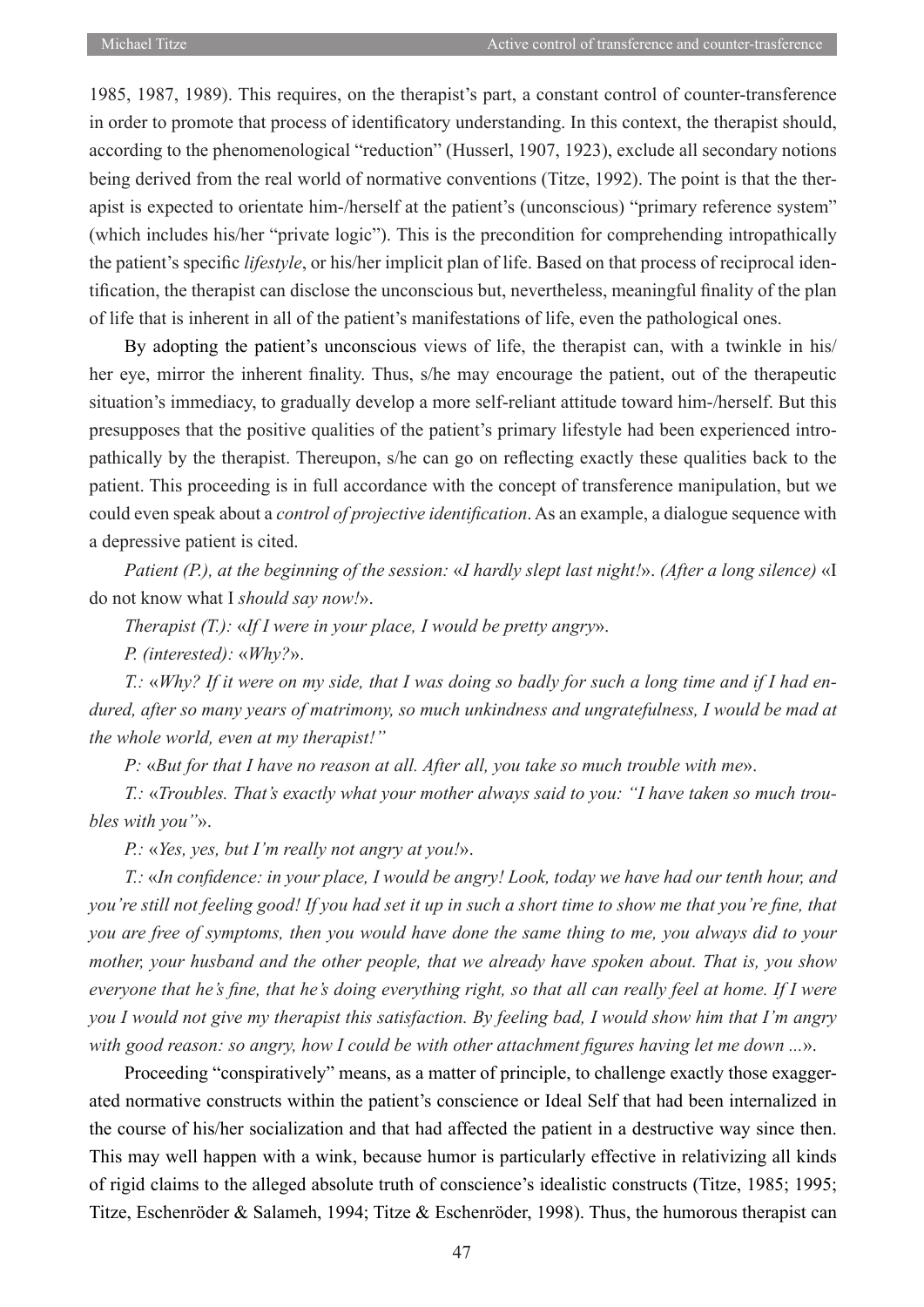1985, 1987, 1989). This requires, on the therapist's part, a constant control of counter-transference in order to promote that process of identificatory understanding. In this context, the therapist should, according to the phenomenological "reduction" (Husserl, 1907, 1923), exclude all secondary notions being derived from the real world of normative conventions (Titze, 1992). The point is that the therapist is expected to orientate him-/herself at the patient's (unconscious) "primary reference system" (which includes his/her "private logic"). This is the precondition for comprehending intropathically the patient's specific *lifestyle*, or his/her implicit plan of life. Based on that process of reciprocal identification, the therapist can disclose the unconscious but, nevertheless, meaningful finality of the plan of life that is inherent in all of the patient's manifestations of life, even the pathological ones.

By adopting the patient's unconscious views of life, the therapist can, with a twinkle in his/ her eye, mirror the inherent finality. Thus, s/he may encourage the patient, out of the therapeutic situation's immediacy, to gradually develop a more self-reliant attitude toward him-/herself. But this presupposes that the positive qualities of the patient's primary lifestyle had been experienced intropathically by the therapist. Thereupon, s/he can go on reflecting exactly these qualities back to the patient. This proceeding is in full accordance with the concept of transference manipulation, but we could even speak about a *control of projective identification*. As an example, a dialogue sequence with a depressive patient is cited.

*Patient (P.), at the beginning of the session:* «*I hardly slept last night!*». *(After a long silence)* «I do not know what I *should say now!*».

*Therapist (T.):* «*If I were in your place, I would be pretty angry*».

*P. (interested):* «*Why?*».

*T.:* «*Why? If it were on my side, that I was doing so badly for such a long time and if I had endured, after so many years of matrimony, so much unkindness and ungratefulness, I would be mad at the whole world, even at my therapist!"*

*P:* «*But for that I have no reason at all. After all, you take so much trouble with me*».

*T.:* «*Troubles. That's exactly what your mother always said to you: "I have taken so much troubles with you"*».

*P.:* «*Yes, yes, but I'm really not angry at you!*».

*T.:* «*In confidence: in your place, I would be angry! Look, today we have had our tenth hour, and you're still not feeling good! If you had set it up in such a short time to show me that you're fine, that you are free of symptoms, then you would have done the same thing to me, you always did to your mother, your husband and the other people, that we already have spoken about. That is, you show everyone that he's fine, that he's doing everything right, so that all can really feel at home. If I were you I would not give my therapist this satisfaction. By feeling bad, I would show him that I'm angry with good reason: so angry, how I could be with other attachment figures having let me down ...*».

Proceeding "conspiratively" means, as a matter of principle, to challenge exactly those exaggerated normative constructs within the patient's conscience or Ideal Self that had been internalized in the course of his/her socialization and that had affected the patient in a destructive way since then. This may well happen with a wink, because humor is particularly effective in relativizing all kinds of rigid claims to the alleged absolute truth of conscience's idealistic constructs (Titze, 1985; 1995; Titze, Eschenröder & Salameh, 1994; Titze & Eschenröder, 1998). Thus, the humorous therapist can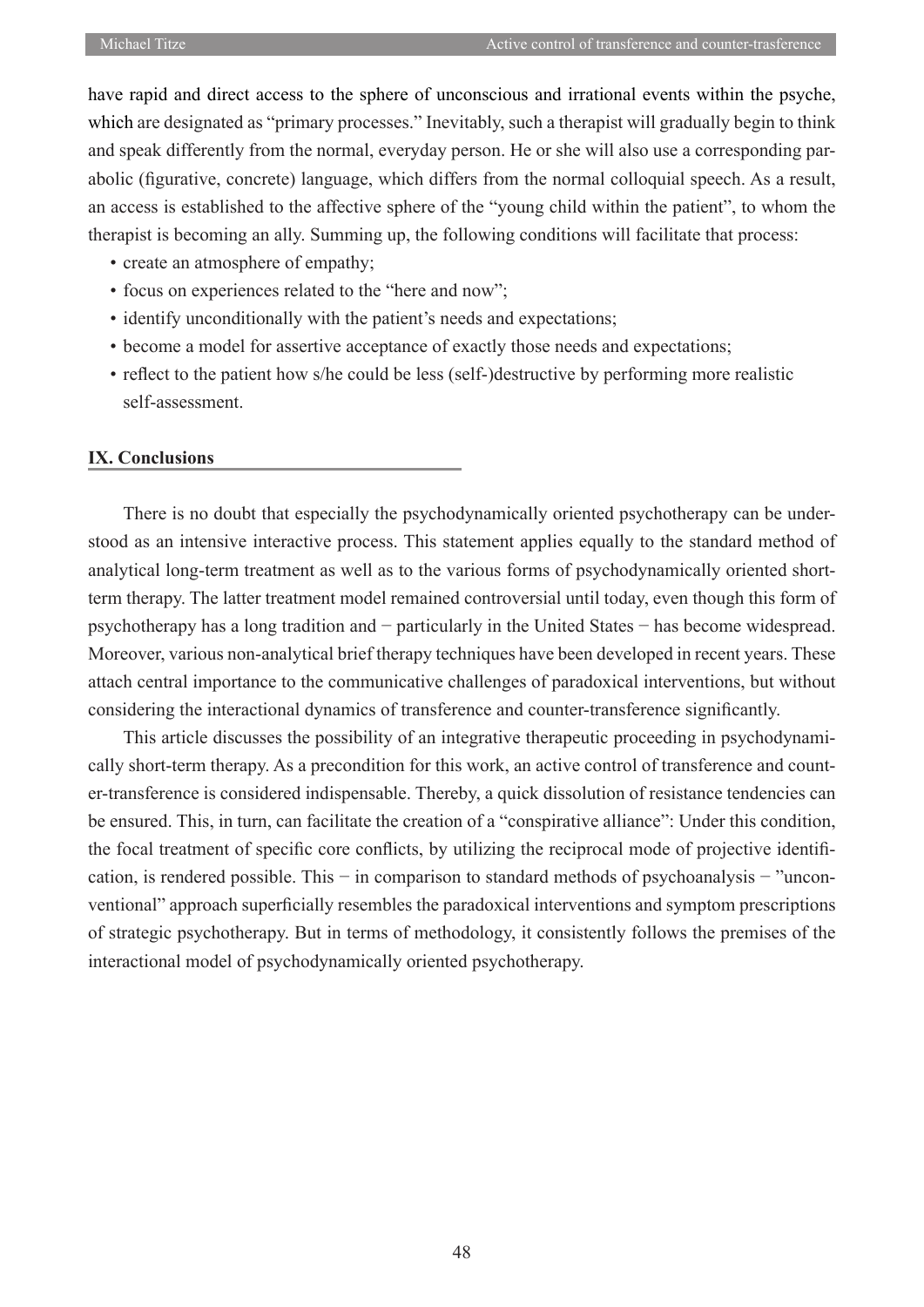have rapid and direct access to the sphere of unconscious and irrational events within the psyche, which are designated as "primary processes." Inevitably, such a therapist will gradually begin to think and speak differently from the normal, everyday person. He or she will also use a corresponding parabolic (figurative, concrete) language, which differs from the normal colloquial speech. As a result, an access is established to the affective sphere of the "young child within the patient", to whom the therapist is becoming an ally. Summing up, the following conditions will facilitate that process:

- create an atmosphere of empathy;
- focus on experiences related to the "here and now";
- identify unconditionally with the patient's needs and expectations;
- become a model for assertive acceptance of exactly those needs and expectations;
- reflect to the patient how s/he could be less (self-)destructive by performing more realistic self-assessment.

#### **IX. Conclusions**

There is no doubt that especially the psychodynamically oriented psychotherapy can be understood as an intensive interactive process. This statement applies equally to the standard method of analytical long-term treatment as well as to the various forms of psychodynamically oriented shortterm therapy. The latter treatment model remained controversial until today, even though this form of psychotherapy has a long tradition and − particularly in the United States − has become widespread. Moreover, various non-analytical brief therapy techniques have been developed in recent years. These attach central importance to the communicative challenges of paradoxical interventions, but without considering the interactional dynamics of transference and counter-transference significantly.

This article discusses the possibility of an integrative therapeutic proceeding in psychodynamically short-term therapy. As a precondition for this work, an active control of transference and counter-transference is considered indispensable. Thereby, a quick dissolution of resistance tendencies can be ensured. This, in turn, can facilitate the creation of a "conspirative alliance": Under this condition, the focal treatment of specific core conflicts, by utilizing the reciprocal mode of projective identification, is rendered possible. This – in comparison to standard methods of psychoanalysis – "unconventional" approach superficially resembles the paradoxical interventions and symptom prescriptions of strategic psychotherapy. But in terms of methodology, it consistently follows the premises of the interactional model of psychodynamically oriented psychotherapy.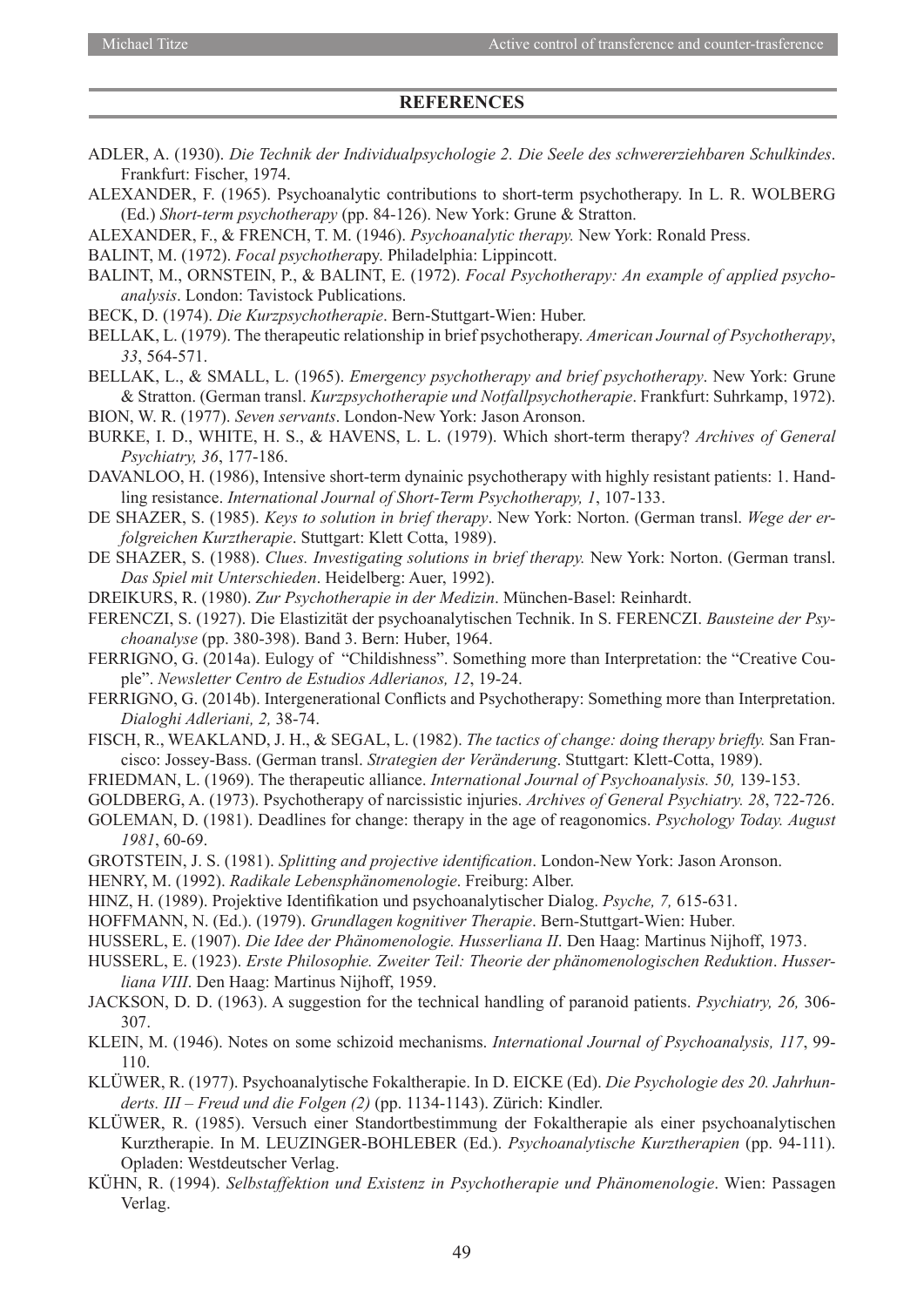#### **REFERENCES**

- ADLER, A. (1930). *Die Technik der Individualpsychologie 2. Die Seele des schwererziehbaren Schulkindes*. Frankfurt: Fischer, 1974.
- ALEXANDER, F. (1965). Psychoanalytic contributions to short-term psychotherapy. In L. R. WOLBERG (Ed.) *Short-term psychotherapy* (pp. 84-126). New York: Grune & Stratton.
- ALEXANDER, F., & FRENCH, T. M. (1946). *Psychoanalytic therapy.* New York: Ronald Press.
- BALINT, M. (1972). *Focal psychothera*py. Philadelphia: Lippincott.
- BALINT, M., ORNSTEIN, P., & BALINT, E. (1972). *Focal Psychotherapy: An example of applied psychoanalysis*. London: Tavistock Publications.
- BECK, D. (1974). *Die Kurzpsychotherapie*. Bern-Stuttgart-Wien: Huber.
- BELLAK, L. (1979). The therapeutic relationship in brief psychotherapy. *American Journal of Psychotherapy*, *33*, 564-571.
- BELLAK, L., & SMALL, L. (1965). *Emergency psychotherapy and brief psychotherapy*. New York: Grune & Stratton. (German transl. *Kurzpsychotherapie und Notfallpsychotherapie*. Frankfurt: Suhrkamp, 1972). BION, W. R. (1977). *Seven servants*. London-New York: Jason Aronson.
- BURKE, I. D., WHITE, H. S., & HAVENS, L. L. (1979). Which short-term therapy? *Archives of General Psychiatry, 36*, 177-186.
- DAVANLOO, H. (1986), Intensive short-term dynainic psychotherapy with highly resistant patients: 1. Handling resistance. *International Journal of Short-Term Psychotherapy, 1*, 107-133.
- DE SHAZER, S. (1985). *Keys to solution in brief therapy*. New York: Norton. (German transl. *Wege der erfolgreichen Kurztherapie*. Stuttgart: Klett Cotta, 1989).
- DE SHAZER, S. (1988). *Clues. Investigating solutions in brief therapy.* New York: Norton. (German transl. *Das Spiel mit Unterschieden*. Heidelberg: Auer, 1992).
- DREIKURS, R. (1980). *Zur Psychotherapie in der Medizin*. München-Basel: Reinhardt.
- FERENCZI, S. (1927). Die Elastizität der psychoanalytischen Technik. In S. FERENCZI. *Bausteine der Psychoanalyse* (pp. 380-398). Band 3. Bern: Huber, 1964.
- FERRIGNO, G. (2014a). Eulogy of "Childishness". Something more than Interpretation: the "Creative Couple". *Newsletter Centro de Estudios Adlerianos, 12*, 19-24.
- FERRIGNO, G. (2014b). Intergenerational Conflicts and Psychotherapy: Something more than Interpretation. *Dialoghi Adleriani, 2,* 38-74.
- FISCH, R., WEAKLAND, J. H., & SEGAL, L. (1982). *The tactics of change: doing therapy briefly.* San Francisco: Jossey-Bass. (German transl. *Strategien der Veränderung*. Stuttgart: Klett-Cotta, 1989).
- FRIEDMAN, L. (1969). The therapeutic alliance. *International Journal of Psychoanalysis. 50,* 139-153.
- GOLDBERG, A. (1973). Psychotherapy of narcissistic injuries. *Archives of General Psychiatry. 28*, 722-726.
- GOLEMAN, D. (1981). Deadlines for change: therapy in the age of reagonomics. *Psychology Today. August 1981*, 60-69.
- GROTSTEIN, J. S. (1981). *Splitting and projective identification*. London-New York: Jason Aronson.
- HENRY, M. (1992). *Radikale Lebensphänomenologie*. Freiburg: Alber.
- HINZ, H. (1989). Projektive Identifikation und psychoanalytischer Dialog. *Psyche, 7,* 615-631.
- HOFFMANN, N. (Ed.). (1979). *Grundlagen kognitiver Therapie*. Bern*-*Stuttgart-Wien: Huber*.*
- HUSSERL, E. (1907). *Die Idee der Phänomenologie. Husserliana II*. Den Haag: Martinus Nijhoff, 1973.
- HUSSERL, E. (1923). *Erste Philosophie. Zweiter Teil: Theorie der phänomenologischen Reduktion*. *Husserliana VIII*. Den Haag: Martinus Nijhoff, 1959.
- JACKSON, D. D. (1963). A suggestion for the technical handling of paranoid patients. *Psychiatry, 26,* 306- 307.
- KLEIN, M. (1946). Notes on some schizoid mechanisms. *International Journal of Psychoanalysis, 117*, 99- 110.
- KLÜWER, R. (1977). Psychoanalytische Fokaltherapie. In D. EICKE (Ed). *Die Psychologie des 20. Jahrhunderts. III – Freud und die Folgen (2)* (pp. 1134-1143). Zürich: Kindler.
- KLÜWER, R. (1985). Versuch einer Standortbestimmung der Fokaltherapie als einer psychoanalytischen Kurztherapie. In M. LEUZINGER-BOHLEBER (Ed.). *Psychoanalytische Kurztherapien* (pp. 94-111). Opladen: Westdeutscher Verlag.
- KÜHN, R. (1994). *Selbstaffektion und Existenz in Psychotherapie und Phänomenologie*. Wien: Passagen Verlag.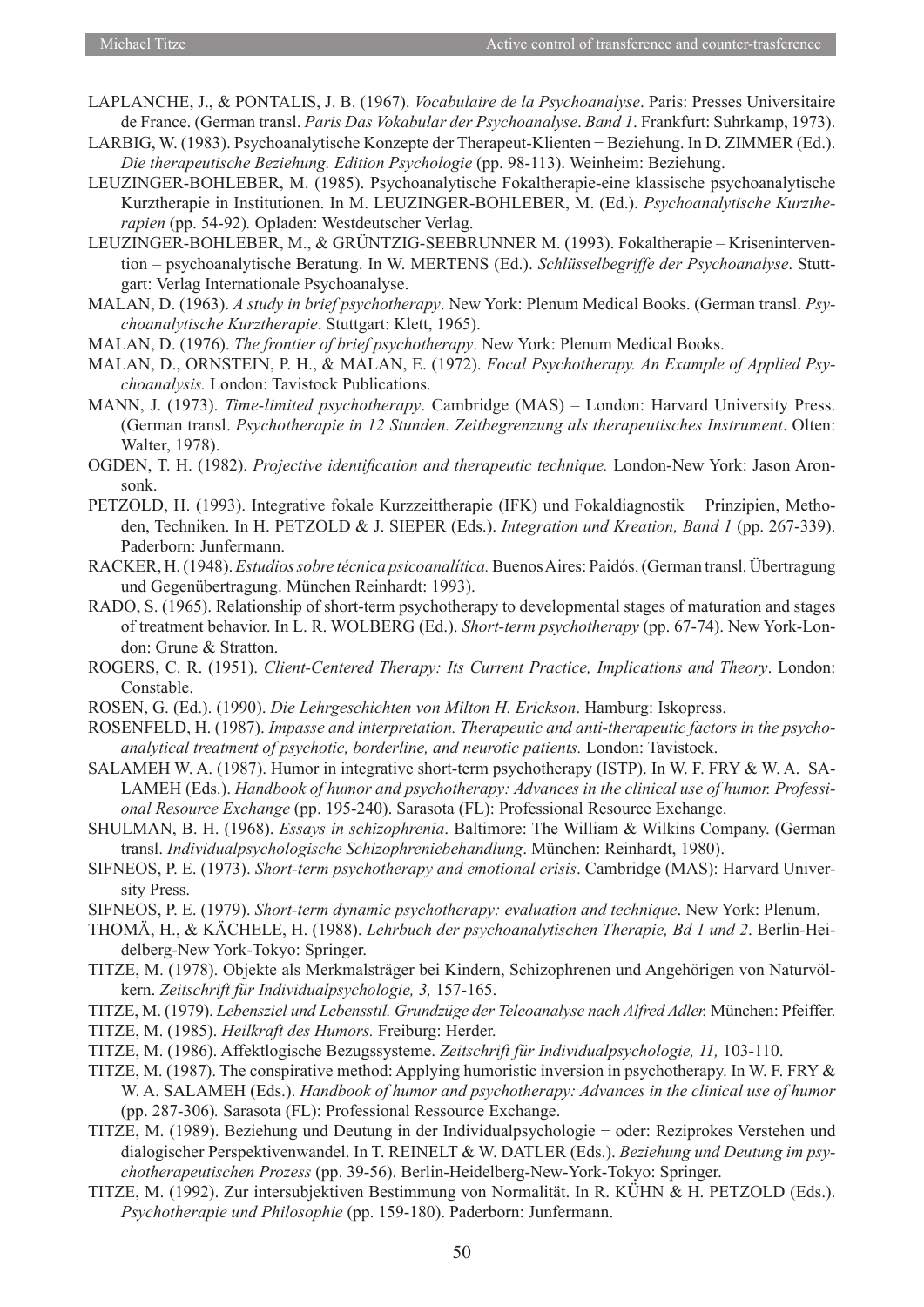- LAPLANCHE, J., & PONTALIS, J. B. (1967). *Vocabulaire de la Psychoanalyse*. Paris: Presses Universitaire de France. (German transl. *Paris Das Vokabular der Psychoanalyse*. *Band 1*. Frankfurt: Suhrkamp, 1973).
- LARBIG, W. (1983). Psychoanalytische Konzepte der Therapeut-Klienten − Beziehung. In D. ZIMMER (Ed.). *Die therapeutische Beziehung. Edition Psychologie* (pp. 98-113). Weinheim: Beziehung.
- LEUZINGER-BOHLEBER, M. (1985). Psychoanalytische Fokaltherapie-eine klassische psychoanalytische Kurztherapie in Institutionen. In M. LEUZINGER-BOHLEBER, M. (Ed.). *Psychoanalytische Kurztherapien* (pp. 54-92)*.* Opladen: Westdeutscher Verlag.
- LEUZINGER-BOHLEBER, M., & GRÜNTZIG-SEEBRUNNER M. (1993). Fokaltherapie Krisenintervention – psychoanalytische Beratung. In W. MERTENS (Ed.). *Schlüsselbegriffe der Psychoanalyse*. Stuttgart: Verlag Internationale Psychoanalyse.
- MALAN, D. (1963). *A study in brief psychotherapy*. New York: Plenum Medical Books. (German transl. *Psychoanalytische Kurztherapie*. Stuttgart: Klett, 1965).
- MALAN, D. (1976). *The frontier of brief psychotherapy*. New York: Plenum Medical Books.
- MALAN, D., ORNSTEIN, P. H., & MALAN, E. (1972). *Focal Psychotherapy. An Example of Applied Psychoanalysis.* London: Tavistock Publications.
- MANN, J. (1973). *Time-limited psychotherapy*. Cambridge (MAS) London: Harvard University Press. (German transl. *Psychotherapie in 12 Stunden. Zeitbegrenzung als therapeutisches Instrument*. Olten: Walter, 1978).
- OGDEN, T. H. (1982). *Projective identification and therapeutic technique.* London-New York: Jason Aronsonk.
- PETZOLD, H. (1993). Integrative fokale Kurzzeittherapie (IFK) und Fokaldiagnostik − Prinzipien, Methoden, Techniken. In H. PETZOLD & J. SIEPER (Eds.). *Integration und Kreation, Band 1* (pp. 267-339). Paderborn: Junfermann.
- RACKER, H. (1948). *Estudios sobre técnica psicoanalítica.* Buenos Aires: Paidós. (German transl. Übertragung und Gegenübertragung. München Reinhardt: 1993).
- RADO, S. (1965). Relationship of short-term psychotherapy to developmental stages of maturation and stages of treatment behavior. In L. R. WOLBERG (Ed.). *Short-term psychotherapy* (pp. 67-74). New York-London: Grune & Stratton.
- ROGERS, C. R. (1951). *Client-Centered Therapy: Its Current Practice, Implications and Theory*. London: Constable.
- ROSEN, G. (Ed.). (1990). *Die Lehrgeschichten von Milton H. Erickson*. Hamburg: Iskopress.
- ROSENFELD, H. (1987). *Impasse and interpretation. Therapeutic and anti-therapeutic factors in the psychoanalytical treatment of psychotic, borderline, and neurotic patients.* London: Tavistock.
- SALAMEH W. A. (1987). Humor in integrative short-term psychotherapy (ISTP). In W. F. FRY & W. A. SA-LAMEH (Eds.). *Handbook of humor and psychotherapy: Advances in the clinical use of humor. Professional Resource Exchange* (pp. 195-240). Sarasota (FL): Professional Resource Exchange.
- SHULMAN, B. H. (1968). *Essays in schizophrenia*. Baltimore: The William & Wilkins Company. (German transl. *Individualpsychologische Schizophreniebehandlung*. München: Reinhardt, 1980).
- SIFNEOS, P. E. (1973). *Short-term psychotherapy and emotional crisis*. Cambridge (MAS): Harvard University Press.
- SIFNEOS, P. E. (1979). *Short-term dynamic psychotherapy: evaluation and technique*. New York: Plenum.
- THOMÄ, H., & KÄCHELE, H. (1988). *Lehrbuch der psychoanalytischen Therapie, Bd 1 und 2*. Berlin-Heidelberg-New York-Tokyo: Springer.
- TITZE, M. (1978). Objekte als Merkmalsträger bei Kindern, Schizophrenen und Angehörigen von Naturvölkern. *Zeitschrift für Individualpsychologie, 3,* 157-165.
- TITZE, M. (1979). *Lebensziel und Lebensstil. Grundzüge der Teleoanalyse nach Alfred Adler.* München: Pfeiffer.
- TITZE, M. (1985). *Heilkraft des Humors.* Freiburg: Herder.
- TITZE, M. (1986). Affektlogische Bezugssysteme. *Zeitschrift für Individualpsychologie, 11,* 103-110.
- TITZE, M. (1987). The conspirative method: Applying humoristic inversion in psychotherapy. In W. F. FRY & W. A. SALAMEH (Eds.). *Handbook of humor and psychotherapy: Advances in the clinical use of humor* (pp. 287-306)*.* Sarasota (FL): Professional Ressource Exchange.
- TITZE, M. (1989). Beziehung und Deutung in der Individualpsychologie − oder: Reziprokes Verstehen und dialogischer Perspektivenwandel. In T. REINELT & W. DATLER (Eds.). *Beziehung und Deutung im psychotherapeutischen Prozess* (pp. 39-56). Berlin-Heidelberg-New-York-Tokyo: Springer.
- TITZE, M. (1992). Zur intersubjektiven Bestimmung von Normalität. In R. KÜHN & H. PETZOLD (Eds.). *Psychotherapie und Philosophie* (pp. 159-180). Paderborn: Junfermann.